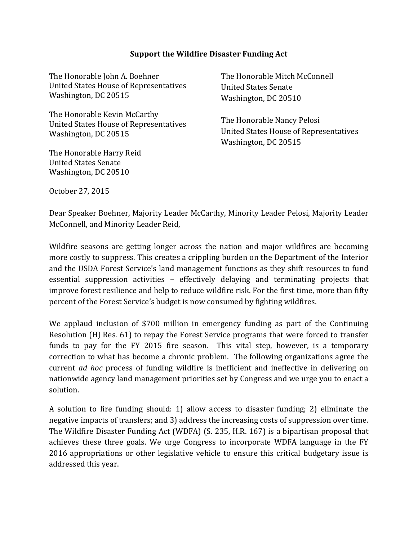## **Support the Wildfire Disaster Funding Act**

The Honorable John A. Boehner United States House of Representatives Washington, DC 20515

The Honorable Kevin McCarthy United States House of Representatives Washington, DC 20515

The Honorable Harry Reid United States Senate Washington, DC 20510

The Honorable Mitch McConnell United States Senate Washington, DC 20510

The Honorable Nancy Pelosi United States House of Representatives Washington, DC 20515

October 27, 2015

Dear Speaker Boehner, Majority Leader McCarthy, Minority Leader Pelosi, Majority Leader McConnell, and Minority Leader Reid,

Wildfire seasons are getting longer across the nation and major wildfires are becoming more costly to suppress. This creates a crippling burden on the Department of the Interior and the USDA Forest Service's land management functions as they shift resources to fund essential suppression activities – effectively delaying and terminating projects that improve forest resilience and help to reduce wildfire risk. For the first time, more than fifty percent of the Forest Service's budget is now consumed by fighting wildfires.

We applaud inclusion of \$700 million in emergency funding as part of the Continuing Resolution (HJ Res. 61) to repay the Forest Service programs that were forced to transfer funds to pay for the FY 2015 fire season. This vital step, however, is a temporary correction to what has become a chronic problem. The following organizations agree the current *ad hoc* process of funding wildfire is inefficient and ineffective in delivering on nationwide agency land management priorities set by Congress and we urge you to enact a solution.

A solution to fire funding should: 1) allow access to disaster funding; 2) eliminate the negative impacts of transfers; and 3) address the increasing costs of suppression over time. The Wildfire Disaster Funding Act (WDFA) (S. 235, H.R. 167) is a bipartisan proposal that achieves these three goals. We urge Congress to incorporate WDFA language in the FY 2016 appropriations or other legislative vehicle to ensure this critical budgetary issue is addressed this year.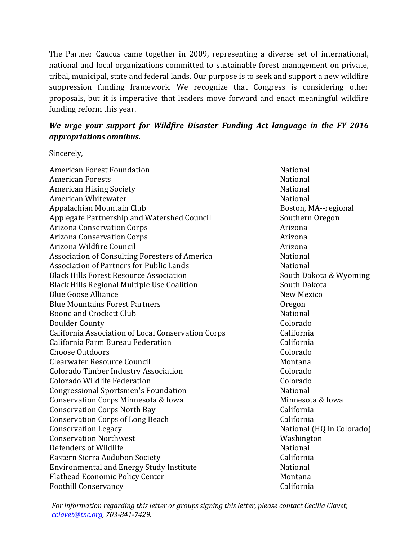The Partner Caucus came together in 2009, representing a diverse set of international, national and local organizations committed to sustainable forest management on private, tribal, municipal, state and federal lands. Our purpose is to seek and support a new wildfire suppression funding framework. We recognize that Congress is considering other proposals, but it is imperative that leaders move forward and enact meaningful wildfire funding reform this year.

## *We urge your support for Wildfire Disaster Funding Act language in the FY 2016 appropriations omnibus.*

Sincerely,

| American Forest Foundation                         | National                  |
|----------------------------------------------------|---------------------------|
| <b>American Forests</b>                            | National                  |
| <b>American Hiking Society</b>                     | National                  |
| American Whitewater                                | National                  |
| Appalachian Mountain Club                          | Boston, MA--regional      |
| Applegate Partnership and Watershed Council        | Southern Oregon           |
| <b>Arizona Conservation Corps</b>                  | Arizona                   |
| <b>Arizona Conservation Corps</b>                  | Arizona                   |
| Arizona Wildfire Council                           | Arizona                   |
| Association of Consulting Foresters of America     | National                  |
| <b>Association of Partners for Public Lands</b>    | National                  |
| <b>Black Hills Forest Resource Association</b>     | South Dakota & Wyoming    |
| <b>Black Hills Regional Multiple Use Coalition</b> | South Dakota              |
| <b>Blue Goose Alliance</b>                         | New Mexico                |
| <b>Blue Mountains Forest Partners</b>              | Oregon                    |
| Boone and Crockett Club                            | National                  |
| <b>Boulder County</b>                              | Colorado                  |
| California Association of Local Conservation Corps | California                |
| California Farm Bureau Federation                  | California                |
| <b>Choose Outdoors</b>                             | Colorado                  |
| <b>Clearwater Resource Council</b>                 | Montana                   |
| <b>Colorado Timber Industry Association</b>        | Colorado                  |
| Colorado Wildlife Federation                       | Colorado                  |
| <b>Congressional Sportsmen's Foundation</b>        | National                  |
| Conservation Corps Minnesota & Iowa                | Minnesota & Iowa          |
| <b>Conservation Corps North Bay</b>                | California                |
| <b>Conservation Corps of Long Beach</b>            | California                |
| <b>Conservation Legacy</b>                         | National (HQ in Colorado) |
| <b>Conservation Northwest</b>                      | Washington                |
| Defenders of Wildlife                              | <b>National</b>           |
| Eastern Sierra Audubon Society                     | California                |
| <b>Environmental and Energy Study Institute</b>    | National                  |
| <b>Flathead Economic Policy Center</b>             | Montana                   |
| <b>Foothill Conservancy</b>                        | California                |

*For information regarding this letter or groups signing this letter, please contact Cecilia Clavet, [cclavet@tnc.org,](mailto:cclavet@tnc.org) 703-841-7429.*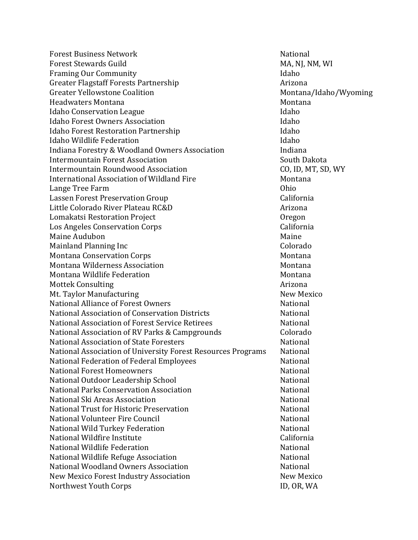Forest Business Network National Forest Stewards Guild<br>
Framing Our Community<br>
Haho Framing Our Community Idaho Greater Flagstaff Forests Partnership Arizona Greater Yellowstone Coalition and Montana Montana Montana<br>Idaho Montana Montana Montana Montana Headwaters Montana<br>
Idaho Conservation League Idaho Conservation League Idaho Idaho Forest Owners Association<br>Idaho Forest Restoration Partnership Idaho Forest Restoration Partnership<br>Idaho Wildlife Federation Idaho Wildlife Federation<br>Indiana Forestry & Woodland Owners Association Fundiana Indiana Forestry & Woodland Owners Association Fundiana<br>Intermountain Forest Association South Dakota Intermountain Forest Association South Dakota<br>Intermountain Roundwood Association CO. ID. MT. SD. WY Intermountain Roundwood Association CO, ID, MT, SD, WY International Association of Wildland Fire Theorem Mont<br>Lange Tree Farm Montana Chio Lange Tree Farm<br>Lassen Forest Preservation Group Lassen Forest Preservation Group<br>Little Colorado River Plateau RC&D<br>Arizona Little Colorado River Plateau RC&D Arizona Lomakatsi Restoration Project Oregon Los Angeles Conservation Corps (California) California (California) California (California) California (Califor<br>Maine Audubon Maine Audubon<br>Maine Audubon Maine (Maine Maine Maine Maine Maine Maine Maine Maine Maine Maine Maine Maine Maine Maine Maine<br>Mainland Planning Inc Mainland Planning Inc Colorado Montana Conservation Corps<br>Montana Wilderness Association Nontana<br>Montana Montana Montana Wilderness Association<br>Montana Wildlife Federation Montana Montana Montana Wildlife Federation<br>Mottek Consulting Montana Mottek Consulting Mottek Consulting<br>Mt. Tavlor Manufacturing Arizona (Arizona Arizona Arizona Arizona Arizona Arizona Arizona Arizona Arizona Ari<br>Alikuwa Mew Mexico Mt. Taylor Manufacturing<br>National Alliance of Forest Owners New Mexiconal National National Alliance of Forest Owners<br>
National Association of Conservation Districts<br>
National Association of Conservation Districts National Association of Conservation Districts<br>
National Association of Forest Service Retirees<br>
National National Association of Forest Service Retirees<br>
National Association of RV Parks & Camperounds Colorado National Association of RV Parks & Campgrounds Colorado National Association of State Foresters<br>National Association of University Forest Resources Programs Mational National Association of University Forest Resources Programs Mational<br>National Federation of Federal Employees National Federation of Federal Employees<br>National Forest Homeowners<br>National Romeowners National Forest Homeowners<br>
National Outdoor Leadership School<br>
National Outdoor Leadership School National Outdoor Leadership School<br>National Parks Conservation Association National National National Parks Conservation Association<br>
National Ski Areas Association<br>
National Ski Areas Association National Ski Areas Association<br>
National Trust for Historic Preservation<br>
National National National Trust for Historic Preservation<br>
National Volunteer Fire Council<br>
National National National Volunteer Fire Council<br>National Wild Turkey Federation<br>National Mild Turkey Federation National Wild Turkey Federation<br>National Wildfire Institute National Wildfire Institute California National Wildlife Federation<br>
National Wildlife Refuge Association<br>
National Mational National Wildlife Refuge Association<br>National Woodland Owners Association National National National Woodland Owners Association<br>New Mexico Forest Industry Association New Mexico New Mexico New Mexico Forest Industry Association New Mexico New Mexico Northwest Youth Corps<br>Northwest Youth Corps Northwest Youth Corps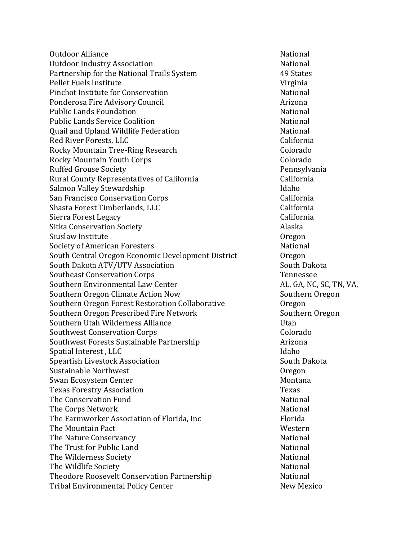Outdoor Alliance<br>
Outdoor Industry Association<br>
Outdoor Industry Association Outdoor Industry Association National Partnership for the National Trails System 49 States 49 States<br>Pellet Fuels Institute Pellet Fuels Institute<br>Pinchot Institute for Conservation<br>National Pinchot Institute for Conservation<br>Ponderosa Fire Advisory Council National Research Arizona Ponderosa Fire Advisory Council<br>Public Lands Foundation and Arizona National Public Lands Foundation<br>Public Lands Service Coalition<br>National National Public Lands Service Coalition<br>
Ouail and Upland Wildlife Federation<br>
National Quail and Upland Wildlife Federation<br>Red River Forests, LLC Red River Forests, LLC California Rocky Mountain Tree-Ring Research<br>Rocky Mountain Youth Corps<br>Colorado Rocky Mountain Youth Corps Colorado Ruffed Grouse Society<br>Rural County Representatives of California<br>California Rural County Representatives of California California Salmon Valley Stewardship<br>
San Francisco Conservation Corps
(Internative San Francisco Conservation Corps
(Internative San Francisco Conservation Corps
s San Francisco Conservation Corps California Shasta Forest Timberlands, LLC<br>Sierra Forest Legacy (California Sierra Forest Legacy<br>Sitka Conservation Society Alaska Sitka Conservation Society Alaska Siuslaw Institute Contract Oregon<br>
Society of American Foresters<br>
National Society of American Foresters<br>South Central Oregon Economic Development District Cregon South Central Oregon Economic Development District Oregon South Dakota ATV/UTV Association<br>Southeast Conservation Corps (South Dakota) South Dakota Southeast Conservation Corps (South Dakota South Dako Southeast Conservation Corps Tennessee<br>
Southern Environmental Law Center<br>
AL, GA, NC, SC, TN, VA, Southern Environmental Law Center<br>
Southern Oregon Climate Action Now<br>
Southern Oregon Southern Oregon Climate Action Now<br>Southern Oregon Forest Restoration Collaborative **Southern** Oregon Southern Oregon Forest Restoration Collaborative Oregon<br>Southern Oregon Prescribed Fire Network Southern Oregon Southern Oregon Prescribed Fire Network<br>Southern Utah Wilderness Alliance Southern Utah Wilderness Alliance<br>
Southwest Conservation Corps

Colorado Southwest Conservation Corps<br>
Southwest Forests Sustainable Partnership<br>
Arizona Southwest Forests Sustainable Partnership<br>Spatial Interest , LLC Spatial Interest , LLC Idaho Spearfish Livestock Association South Dakota Sustainable Northwest Oregon Swan Ecosystem Center<br>Texas Forestry Association<br>Texas Montana Montana Montana Montana Montana Montana Montana Montana Montana Montana Montana Montana Montana Texas Forestry Association<br>The Conservation Fund<br>The Conservation Fund The Conservation Fund<br>The Corns Network National<br>National The Corps Network<br>The Farmworker Association of Florida. Inc. The Farmworker Association of Florida. The Farmworker Association of Florida, Inc Florida Florida<br>The Mountain Pact Florida Chemical Annual Mestern The Mountain Pact<br>The Nature Conservancy<br>The Nature Conservancy The Nature Conservancy<br>
The Trust for Public Land<br>
National
National The Trust for Public Land<br>The Wilderness Society National National National The Wilderness Society<br>
The Wildlife Society<br>
The Wildlife Society The Wildlife Society<br>Theodore Roosevelt Conservation Partnership<br>National Theodore Roosevelt Conservation Partnership Mational<br>Tribal Environmental Policy Center New Mexico Tribal Environmental Policy Center